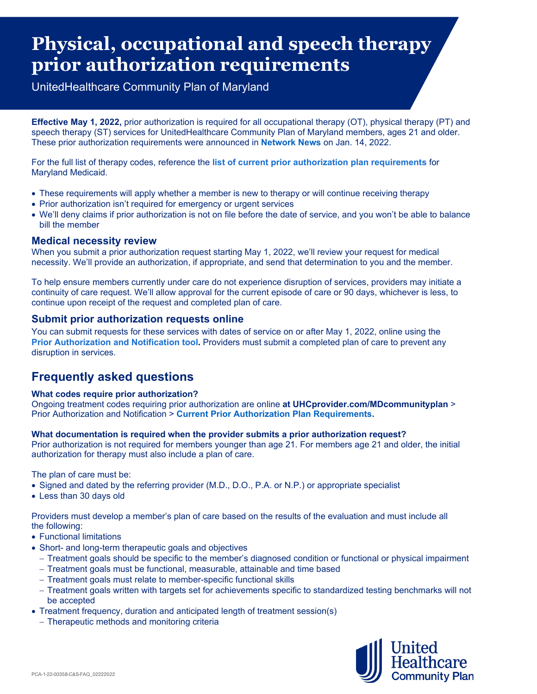# **Physical, occupational and speech therapy prior authorization requirements**

UnitedHealthcare Community Plan of Maryland

**Effective May 1, 2022,** prior authorization is required for all occupational therapy (OT), physical therapy (PT) and speech therapy (ST) services for UnitedHealthcare Community Plan of Maryland members, ages 21 and older. These prior authorization requirements were announced in **[Network News](https://www.uhcprovider.com/en/resource-library/news/2022/md-therapy-services-for-may.html)** on Jan. 14, 2022.

For the full list of therapy codes, reference the **[list of current prior authorization plan requirements](https://www.uhcprovider.com/en/health-plans-by-state/maryland-health-plans/md-comm-plan-home/md-cp-prior-auth.html)** for Maryland Medicaid.

- These requirements will apply whether a member is new to therapy or will continue receiving therapy
- Prior authorization isn't required for emergency or urgent services
- We'll deny claims if prior authorization is not on file before the date of service, and you won't be able to balance bill the member

# **Medical necessity review**

When you submit a prior authorization request starting May 1, 2022, we'll review your request for medical necessity. We'll provide an authorization, if appropriate, and send that determination to you and the member.

To help ensure members currently under care do not experience disruption of services, providers may initiate a continuity of care request. We'll allow approval for the current episode of care or 90 days, whichever is less, to continue upon receipt of the request and completed plan of care.

## **Submit prior authorization requests online**

You can submit requests for these services with dates of service on or after May 1, 2022, online using the **[Prior Authorization and Notification tool.](https://www.uhcprovider.com/en/prior-auth-advance-notification.html)** Providers must submit a completed plan of care to prevent any disruption in services.

# **Frequently asked questions**

#### **What codes require prior authorization?**

Ongoing treatment codes requiring prior authorization are online **at UHCprovider.com/MDcommunityplan** > Prior Authorization and Notification > **[Current Prior Authorization Plan Requirements.](https://www.uhcprovider.com/en/health-plans-by-state/maryland-health-plans/md-comm-plan-home/md-cp-prior-auth.html)**

#### **What documentation is required when the provider submits a prior authorization request?**

Prior authorization is not required for members younger than age 21. For members age 21 and older, the initial authorization for therapy must also include a plan of care.

The plan of care must be:

- Signed and dated by the referring provider (M.D., D.O., P.A. or N.P.) or appropriate specialist
- Less than 30 days old

Providers must develop a member's plan of care based on the results of the evaluation and must include all the following:

- Functional limitations
- Short- and long-term therapeutic goals and objectives
	- − Treatment goals should be specific to the member's diagnosed condition or functional or physical impairment
	- − Treatment goals must be functional, measurable, attainable and time based
	- − Treatment goals must relate to member-specific functional skills
	- − Treatment goals written with targets set for achievements specific to standardized testing benchmarks will not be accepted
- Treatment frequency, duration and anticipated length of treatment session(s)
	- − Therapeutic methods and monitoring criteria

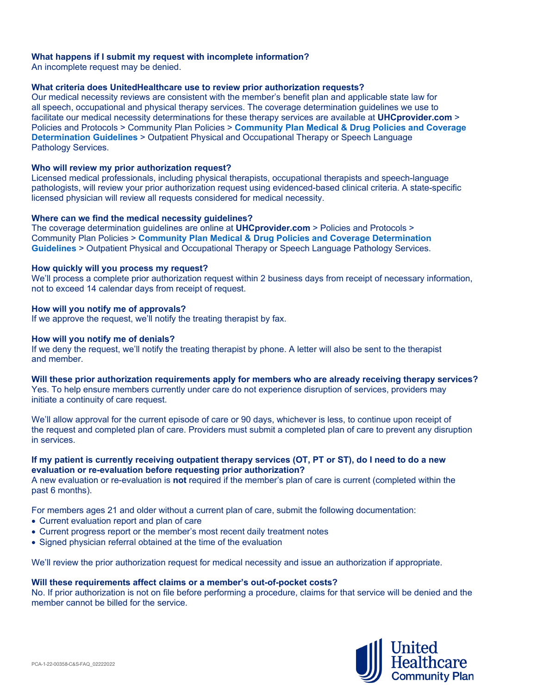#### **What happens if I submit my request with incomplete information?**

An incomplete request may be denied.

#### **What criteria does UnitedHealthcare use to review prior authorization requests?**

Our medical necessity reviews are consistent with the member's benefit plan and applicable state law for all speech, occupational and physical therapy services. The coverage determination guidelines we use to facilitate our medical necessity determinations for these therapy services are available at **UHCprovider.com** > Policies and Protocols > Community Plan Policies > **[Community Plan Medical & Drug Policies and Coverage](https://www.uhcprovider.com/en/policies-protocols/comm-plan-medicaid-policies/medicaid-community-state-policies.html)  [Determination Guidelines](https://www.uhcprovider.com/en/policies-protocols/comm-plan-medicaid-policies/medicaid-community-state-policies.html)** > Outpatient Physical and Occupational Therapy or Speech Language Pathology Services.

#### **Who will review my prior authorization request?**

Licensed medical professionals, including physical therapists, occupational therapists and speech-language pathologists, will review your prior authorization request using evidenced-based clinical criteria. A state-specific licensed physician will review all requests considered for medical necessity.

#### **Where can we find the medical necessity guidelines?**

The coverage determination guidelines are online at **UHCprovider.com** > Policies and Protocols > Community Plan Policies > **[Community Plan Medical & Drug Policies and Coverage Determination](https://www.uhcprovider.com/en/policies-protocols/comm-plan-medicaid-policies/medicaid-community-state-policies.html)  [Guidelines](https://www.uhcprovider.com/en/policies-protocols/comm-plan-medicaid-policies/medicaid-community-state-policies.html)** > Outpatient Physical and Occupational Therapy or Speech Language Pathology Services.

#### **How quickly will you process my request?**

We'll process a complete prior authorization request within 2 business days from receipt of necessary information, not to exceed 14 calendar days from receipt of request.

#### **How will you notify me of approvals?**

If we approve the request, we'll notify the treating therapist by fax.

#### **How will you notify me of denials?**

If we deny the request, we'll notify the treating therapist by phone. A letter will also be sent to the therapist and member.

#### **Will these prior authorization requirements apply for members who are already receiving therapy services?**

Yes. To help ensure members currently under care do not experience disruption of services, providers may initiate a continuity of care request.

We'll allow approval for the current episode of care or 90 days, whichever is less, to continue upon receipt of the request and completed plan of care. Providers must submit a completed plan of care to prevent any disruption in services.

#### **If my patient is currently receiving outpatient therapy services (OT, PT or ST), do I need to do a new evaluation or re-evaluation before requesting prior authorization?**

A new evaluation or re-evaluation is **not** required if the member's plan of care is current (completed within the past 6 months).

For members ages 21 and older without a current plan of care, submit the following documentation:

- Current evaluation report and plan of care
- Current progress report or the member's most recent daily treatment notes
- Signed physician referral obtained at the time of the evaluation

We'll review the prior authorization request for medical necessity and issue an authorization if appropriate.

#### **Will these requirements affect claims or a member's out-of-pocket costs?**

No. If prior authorization is not on file before performing a procedure, claims for that service will be denied and the member cannot be billed for the service.